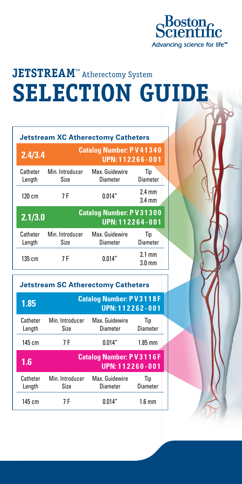

# **JETSTREAM™** Atherectomy System **SELECTION GUIDE**

| <b>Jetstream XC Atherectomy Catheters</b> |                                                   |                                   |                                      |  |  |  |  |
|-------------------------------------------|---------------------------------------------------|-----------------------------------|--------------------------------------|--|--|--|--|
| 2.4/3.4                                   | <b>Catalog Number: PV41340</b><br>UPN: 112266-001 |                                   |                                      |  |  |  |  |
| Catheter<br>Length                        | Min. Introducer<br>Size                           | Max. Guidewire<br>Diameter        | Tip<br>Diameter                      |  |  |  |  |
| $120 \text{ cm}$                          | 7 F                                               | 0.014''                           | $2.4 \text{ mm}$<br>$3.4 \text{ mm}$ |  |  |  |  |
| 2.1/3.0                                   | <b>Catalog Number: PV31300</b><br>UPN: 112264-001 |                                   |                                      |  |  |  |  |
| Catheter<br>Length                        | Min. Introducer<br>Size                           | Max. Guidewire<br><b>Diameter</b> | Tip<br>Diameter                      |  |  |  |  |
| 135cm                                     | 7 F                                               | 0.014''                           | $2.1 \text{ mm}$<br>$3.0 \text{ mm}$ |  |  |  |  |

|  |  | <b>Jetstream SC Atherectomy Catheters</b> |  |
|--|--|-------------------------------------------|--|
|--|--|-------------------------------------------|--|

| 1.85               | <b>Catalog Number: PV3118F</b><br>UPN: 112262-001 |                            |                        |  |
|--------------------|---------------------------------------------------|----------------------------|------------------------|--|
| Catheter<br>Length | Min. Introducer<br>Size                           | Max. Guidewire<br>Diameter | Tip<br><b>Diameter</b> |  |
| $145$ cm           | 7 F                                               | 0.014''                    | $1.85$ mm              |  |
|                    | <b>Catalog Number: PV3116F</b><br>UPN: 112260-001 |                            |                        |  |
| 1.6                |                                                   |                            |                        |  |
| Catheter<br>Length | Min. Introducer<br>Size                           | Max. Guidewire<br>Diameter | Tip<br><b>Diameter</b> |  |